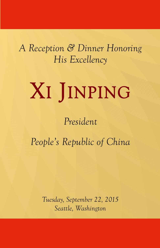*A Reception & Dinner Honoring His Excellency*

# XI JINPING

# *President*

*People's Republic of China*

*Tuesday, September 22, 2015 Seattle, Washington*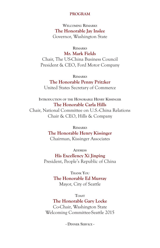#### **PROGRAM**

**Welcoming Remarks The Honorable Jay Inslee** Governor, Washington State

#### **Remarks**

**Mr. Mark Fields**

Chair, The US-China Business Council President & CEO, Ford Motor Company

**Remarks**

**The Honorable Penny Pritzker** United States Secretary of Commerce

**Introduction of the Honorable Henry Kissinger The Honorable Carla Hills**

Chair, National Committee on U.S.-China Relations Chair & CEO, Hills & Company

> **Remarks The Honorable Henry Kissinger** Chairman, Kissinger Associates

#### **Address**

**His Excellency Xi Jinping** President, People's Republic of China

> **Thank You The Honorable Ed Murray** Mayor, City of Seattle

**Toast The Honorable Gary Locke** Co-Chair, Washington State Welcoming Committee-Seattle 2015

**- Dinner Service -**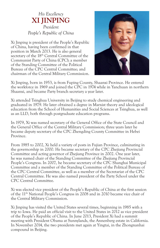# *His Excellency* **XI JINPING** *President People's Republic of China*

Xi Jinping is president of the People's Republic of China, having been confirmed in that position in March 2013. He is also general secretary of the 18<sup>th</sup> Central Committee of the Communist Party of China (CPC); a member of the Standing Committee of the Political Bureau of the CPC Central Committee; and chairman of the Central Military Commission.



Xi Jinping, born in 1953, is from Fuping County, Shaanxi Province. He entered the workforce in 1969 and joined the CPC in 1974 while in Yanchuan in northern Shaanxi, and became Party branch secretary a year later.

Xi attended Tsinghua University in Beijing to study chemical engineering and graduated in 1979. He later obtained a degree in Marxist theory and ideological education from the School of Humanities and Social Sciences at Tsinghua, as well as an LLD, both through postgraduate education programs.

In 1979, Xi was named secretary of the General Office of the State Council and the General Office of the Central Military Commission; three years later he became deputy secretary of the CPC Zhengding County Committee in Hebei Province.

From 1985 to 2002, Xi held a variety of posts in Fujian Province, culminating in the governorship in 2000. He became secretary of the CPC Zhejiang Provincial Committee and acting governor of Zhejiang Province in 2002. One year later, he was named chair of the Standing Committee of the Zhejiang Provincial People's Congress. In 2007, he became secretary of the CPC Shanghai Municipal Committee and a member of the Standing Committee of the Political Bureau of the CPC Central Committee, as well as a member of the Secretariat of the CPC Central Committee. He was also named president of the Party School under the CPC Central Committee.

Xi was elected vice president of the People's Republic of China at the first session of the 11th National People's Congress in 2008 and in 2010 became vice chair of the Central Military Commission.

Xi Jinping has visited the United States several times, beginning in 1985 with a trip to Iowa. He paid an official visit to the United States in 2012 as vice president of the People's Republic of China. In June 2013, President Xi had a summit meeting with President Obama at Sunnylands, the Annenberg estate in California. In November 2014, the two presidents met again at Yingtai, in the Zhongnanhai compound in Beijing.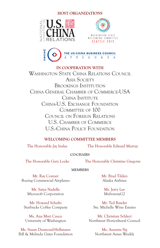# **HOST ORGANIZATIONS**







# **IN COOPERATION WITH**

Washington State China Relations Council ASIA SOCIETY Brookings Institution China General Chamber of Commerce-USA CHINA INSTITUTE China-U.S. Exchange Foundation COMMITTEE OF 100 Council on Foreign Relations U.S. Chamber of Commerce U.S.-China Policy Foundation

# **WELCOMING COMMITTEE MEMBERS**

The Honorable Jay Inslee The Honorable Edward Murray

## **CO-CHAIRS**

The Honorable Gary Locke The Honorable Christine Gregoire

#### **MEMBERS**

Mr. Ray Conner Boeing Commercial Airplanes

> Mr. Satya Nadella Microsoft Corporation

Mr. Howard Schultz Starbucks Coffee Company

Ms. Ana Mari Cauce University of Washington

Ms. Susan Desmond-Hellmann Bill & Melinda Gates Foundation Mr. Brad Tilden Alaska Airlines

Mr. Jerry Lee MulvannyG2

Mr. Ted Baseler Ste. Michelle Wine Estates

Mr. Christian Schlect Northwest Horicultural Council

> Ms. Assunta Ng Northwest Asian Weekly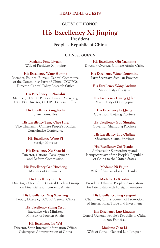#### **HEAD TABLE GUESTS**

#### **GUEST OF HONOR**

# **His Excellency Xi Jinping President People's Republic of China**

#### **CHINESE GUESTS**

**Madame Peng Liyuan** Wife of President Xi Jinping

**His Excellency Wang Huning** Member, Political Bureau, Central Committee of the Communist Party of China (CCCPC); Director, Central Policy Research Office

#### **His Excellency Li Zhanshu**

Member, CCCPC Political Bureau; Secretary, CCCPC; Director, CCCPC General Office

> **His Excellency Yang Jiechi** State Councillor

#### **His Excellency Tung Chee Hwa**

Vice Chairman, Chinese People's Political Consultative Conference

> **His Excellency Wang Yi** Foreign Minister

#### **His Excellency Xu Shaoshi** Director, National Development

and Reform Commission

**His Excellency Gao Hucheng** Minister of Commerce

**His Excellency Liu He** Director, Office of the Central Leading Group on Financial and Economic Affairs

**His Excellency Ding Xuexiang** Deputy Director, CCCPC General Office

#### **His Excellency Zhang Yesui** Executive Vice Minister, Ministry of Foreign Affairs

#### **His Excellency Lu Wei**

Director, State Internet Information Office; Cyberspace Administration of China

**His Excellency Qiu Yuanping** Director, Overseas Chinese Affairs Office

**His Excellency Wang Dongming** Party Secretary, Sichuan Province

**His Excellency Wang Anshun**  Mayor, City of Beijing

**His Excellency Huang Qifan** Mayor, City of Chongqing

**His Excellency Li Qiang** Governor, Zhejiang Province

**His Excellency Guo Shuqing** Governor, Shandong Province

**His Excellency Lou Qinjian** Governor, Shanxi Province

#### **His Excellency Cui Tiankai**

Ambassador Extraordinary and Plenipotentiary of the People's Republic of China to the United States

**Madame Ni Peijun** Wife of Ambassador Cui Tiankai

#### **Madame Li Xiaolin**

President, Chinese People's Association for Friendship with Foreign Countries

#### **His Excellency Jiang Zengwei**

Chairman, China Council of Promotion of International Trade and Investment

#### **His Excellency Luo Linquan**

Consul General, People's Republic of China in San Francisco

#### **Madame Qiao Li**

Wife of Consul General Luo Linquan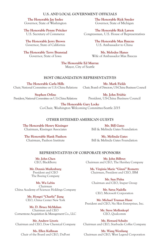#### **U.S. AND LOCAL GOVERNMENT OFFICIALS**

**The Honorable Jay Inslee** Governor, State of Washington

**The Honorable Penny Pritzker** U.S. Secretary of Commerce

**The Honorable Jerry Brown** Governor, State of California

**The Honorable Terry Branstad** Governor, State of Iowa

**The Honorable Rick Snyder** Governor, State of Michigan

**The Honorable Rick Larsen** Congressman, U.S. House of Representatives

> **The Honorable Max Baucus** U.S. Ambassador to China

**Ms. Melodee Hanes** Wife of Ambassador Max Baucus

**The Honorable Ed Murray** Mayor, City of Seattle

**HOST ORGANIZATION REPRESENTATIVES**

**The Honorable Carla Hills**

Chair, National Committee on U.S.-China Relations Chair, Board of Directors, US-China Business Council **Mr. Mark Fields**

**Stephen Orlins** President, National Committee on U.S.-China Relations

**Mr. John Frisbie** President, US-China Business Council

**The Honorable Gary Locke** Co-Chair, Washington Welcoming Committee-Seattle 2015

#### **OTHER ESTEEMED AMERICAN GUESTS**

**The Honorable Henry Kissinger** Chairman, Kissinger Associates

**Mr. Bill Gates** Bill & Melinda Gates Foundation

**The Honorable Hank Paulson** Chairman, Paulson Institute

**Ms. Melinda Gates** Bill & Melinda Gates Foundation

#### **REPRESENTATIVES OF CORPORATE SPONSORS**

**Mr. John Chen** CEO, BlackBerry

**Mr. Dennis Muilenburg** President and CEO The Boeing Company

**Mr. Wu Lebin** Chairman China Academy of Sciences Holdings Company

> **Mr. Hongyi "Charlie" Jiang** CEO, China Center New York

**Mr. D. Bruce McMahan** Chairman and CEO Cornerstone Acquisition & Management Co., LLC

**Mr. Andrew Liveris** Chairman and CEO, Dow Chemical Company

**Ms. Ellen Kullman** Chair of the Board and CEO, DuPont

**Mr. John Bilbrey** Chairman and CEO, The Hershey Company

**Ms. Virginia Marie "Ginni" Rometty** Chairman, President and CEO, IBM

**Mr. Sun Pishu** Chairman and CEO, Inspur Group

> **Mr. Satya Nadella** CEO, Microsoft Corporation

**Mr. Michael Truman Hunt** President and CEO, Nu Skin Enterprises, Inc.

> **Mr. Steve Mollenkopf** CEO, Qualcomm

**Mr. Howard Schultz** Chairman and CEO, Starbucks Coffee Company

**Mr. Wang Wenliang** Chairman and CEO, West Legend Corporation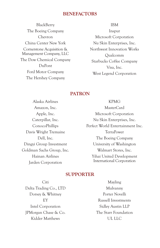# **BENEFACTORS**

**BlackBerry** The Boeing Company Chevron China Center New York Cornerstone Acquisition & Management Company, LLC The Dow Chemical Company DuPont Ford Motor Company The Hershey Company

IBM

Inspur Microsoft Corporation Nu Skin Enterprises, Inc. Northwest Innovation Works Qualcomm Starbucks Coffee Company Visa, Inc. West Legend Corporation

# **PATRON**

Alaska Airlines Amazon, Inc. Apple, Inc. Caterpillar, Inc. ConocoPhillips Davis Wright Tremaine Dell, Inc. Dingyi Group Investment Goldman Sachs Group, Inc. Hainan Airlines Jarden Corporation

KPMG MasterCard Microsoft Corporation Nu Skin Enterprises, Inc. Perfect World Entertainment Inc. TerraPower The Boeing Company University of Washington Walmart Stores, Inc. Yihai United Development International Corporation

# **SUPPORTER**

Citi Delta Trading Co., LTD Dorsey & Whitney EY Intel Corporation JPMorgan Chase & Co. Kidder Matthews

Mayling Mulvanny Porter Novelli Russell Investments Sidley Austin LLP The Starr Foundation UL LLC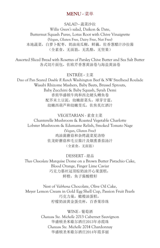# **MENU -** 菜单

SALAD **-** 蔬菜沙拉

*Willie Green's* salad, Daikon & Date, Butternut Squash Puree, Lotus Root with Chive Vinaigrette (Vegan, Gluten Free, Dairy Free, Nut Free) 本地蔬菜,白萝卜配枣,奶油南瓜糊,鲜藕,佐香葱醋汁沙拉酱 (全素食,无面筋,无乳酪,无坚果)

Assorted Sliced Bread with Rosettes of Parsley Chive Butter and Sea Salt Butter 各式切片面包,佐欧芹香葱黄油卷与海盐黄油卷

ENTRÉE **-** 主菜

Duo of Pan Seared *Double R Ranch* Washington Beef & NW Steelhead Roulade Wasabi Rhizome Mashers, Baby Beets, Brussel Sprouts, Baby Zucchini & Baby Squash, Syrah Demi 香煎华盛顿牛肉和西北硬头鳟鱼卷 配芥末土豆泥,幼嫩甜菜头,球芽甘蓝, 幼嫩西葫芦和幼嫩茭瓜,佐焦炙红酒汁

VEGETARIAN - 素食主菜 Chanterelle Mushroom & Roasted Vegetable Charlotte Lobster Mushroom & Edamame Relish, Smoked Tomato Nage (Vegan, Gluten Free) 鸡油菌蘑菇和杂烤蔬菜夏洛特 佐龙虾蘑菇和毛豆酱汁及烟熏番茄汤汁 (全素食,无面筋)

DESSERT - 甜品 *Theo Chocolate* Marquise Dome on a Brown Butter Pistachio Cake, Blood Orange, Finger Lime Caviar 巧克力慕丝冠顶棕奶油开心果蛋糕, 鲜橙,鱼子酱酸橙籽

Nest of *Valrhona* Chocolate, Olive Oil Cake, Meyer Lemon Cream in Gold Egg Shell Cup, Passion Fruit Pearls 巧克力巢,橄榄油蛋糕, 柠檬奶油黄金蛋壳杯,百香果珍珠

> WINE - 葡萄酒 *Chateau Ste. Michelle* 2013 Cabernet Sauvignon 华盛顿圣米歇尔酒庄2013年赤霞珠 *Chateau Ste. Michelle* 2014 Chardonnay 华盛顿圣米歇尔酒庄2014年霞多丽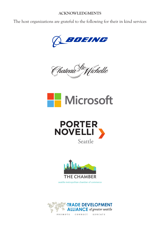## **ACKNOWLEDGMENTS**

The host organizations are grateful to the following for their in kind services